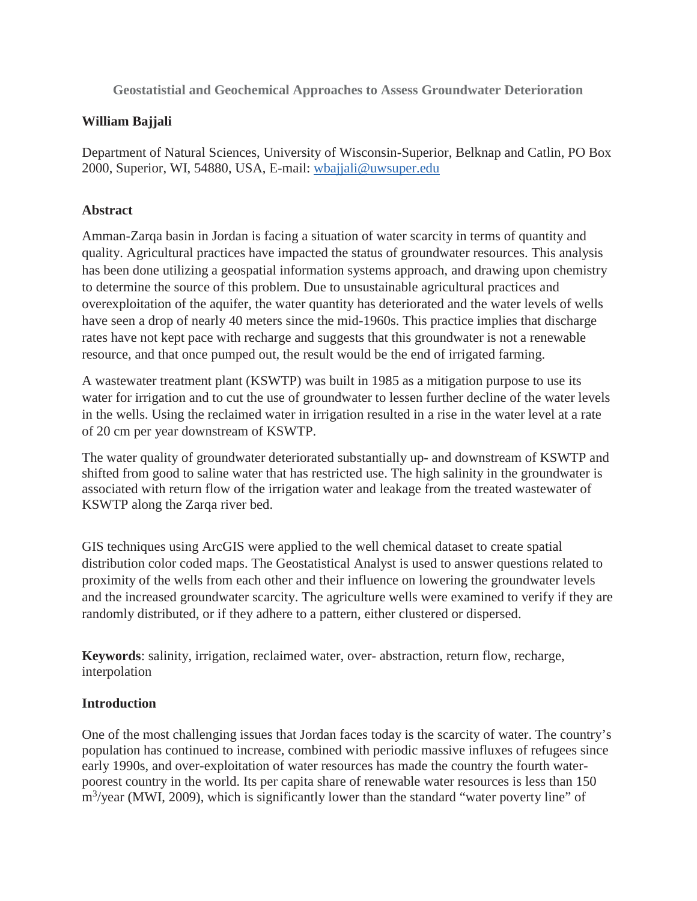**Geostatistial and Geochemical Approaches to Assess Groundwater Deterioration** 

## **William Bajjali**

Department of Natural Sciences, University of Wisconsin-Superior, Belknap and Catlin, PO Box 2000, Superior, WI, 54880, USA, E-mail: wbajjali@uwsuper.edu

## **Abstract**

Amman-Zarqa basin in Jordan is facing a situation of water scarcity in terms of quantity and quality. Agricultural practices have impacted the status of groundwater resources. This analysis has been done utilizing a geospatial information systems approach, and drawing upon chemistry to determine the source of this problem. Due to unsustainable agricultural practices and overexploitation of the aquifer, the water quantity has deteriorated and the water levels of wells have seen a drop of nearly 40 meters since the mid-1960s. This practice implies that discharge rates have not kept pace with recharge and suggests that this groundwater is not a renewable resource, and that once pumped out, the result would be the end of irrigated farming.

A wastewater treatment plant (KSWTP) was built in 1985 as a mitigation purpose to use its water for irrigation and to cut the use of groundwater to lessen further decline of the water levels in the wells. Using the reclaimed water in irrigation resulted in a rise in the water level at a rate of 20 cm per year downstream of KSWTP.

The water quality of groundwater deteriorated substantially up- and downstream of KSWTP and shifted from good to saline water that has restricted use. The high salinity in the groundwater is associated with return flow of the irrigation water and leakage from the treated wastewater of KSWTP along the Zarqa river bed.

GIS techniques using ArcGIS were applied to the well chemical dataset to create spatial distribution color coded maps. The Geostatistical Analyst is used to answer questions related to proximity of the wells from each other and their influence on lowering the groundwater levels and the increased groundwater scarcity. The agriculture wells were examined to verify if they are randomly distributed, or if they adhere to a pattern, either clustered or dispersed.

**Keywords**: salinity, irrigation, reclaimed water, over- abstraction, return flow, recharge, interpolation

## **Introduction**

One of the most challenging issues that Jordan faces today is the scarcity of water. The country's population has continued to increase, combined with periodic massive influxes of refugees since early 1990s, and over-exploitation of water resources has made the country the fourth waterpoorest country in the world. Its per capita share of renewable water resources is less than 150 m<sup>3</sup>/year (MWI, 2009), which is significantly lower than the standard "water poverty line" of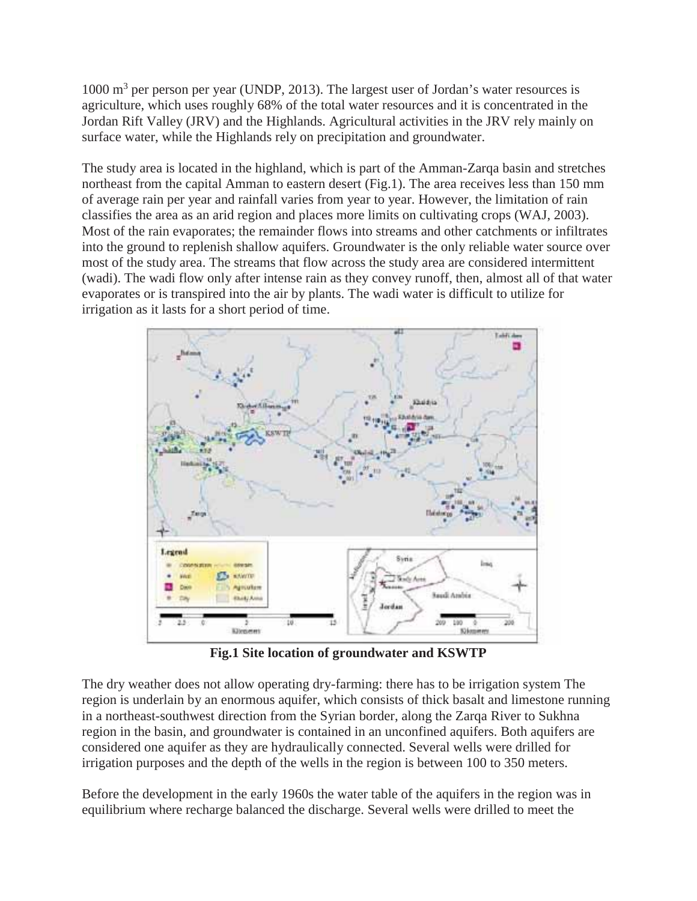1000 m<sup>3</sup> per person per year (UNDP, 2013). The largest user of Jordan's water resources is agriculture, which uses roughly 68% of the total water resources and it is concentrated in the Jordan Rift Valley (JRV) and the Highlands. Agricultural activities in the JRV rely mainly on surface water, while the Highlands rely on precipitation and groundwater.

The study area is located in the highland, which is part of the Amman-Zarqa basin and stretches northeast from the capital Amman to eastern desert (Fig.1). The area receives less than 150 mm of average rain per year and rainfall varies from year to year. However, the limitation of rain classifies the area as an arid region and places more limits on cultivating crops (WAJ, 2003). Most of the rain evaporates; the remainder flows into streams and other catchments or infiltrates into the ground to replenish shallow aquifers. Groundwater is the only reliable water source over most of the study area. The streams that flow across the study area are considered intermittent (wadi). The wadi flow only after intense rain as they convey runoff, then, almost all of that water evaporates or is transpired into the air by plants. The wadi water is difficult to utilize for irrigation as it lasts for a short period of time.



**Fig.1 Site location of groundwater and KSWTP** 

The dry weather does not allow operating dry-farming: there has to be irrigation system The region is underlain by an enormous aquifer, which consists of thick basalt and limestone running in a northeast-southwest direction from the Syrian border, along the Zarqa River to Sukhna region in the basin, and groundwater is contained in an unconfined aquifers. Both aquifers are considered one aquifer as they are hydraulically connected. Several wells were drilled for irrigation purposes and the depth of the wells in the region is between 100 to 350 meters.

Before the development in the early 1960s the water table of the aquifers in the region was in equilibrium where recharge balanced the discharge. Several wells were drilled to meet the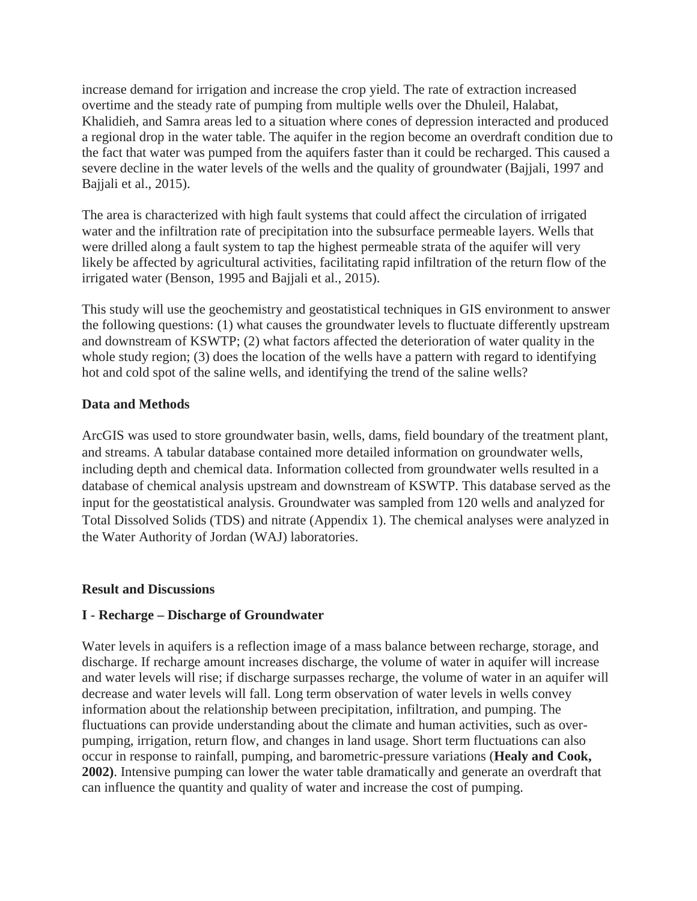increase demand for irrigation and increase the crop yield. The rate of extraction increased overtime and the steady rate of pumping from multiple wells over the Dhuleil, Halabat, Khalidieh, and Samra areas led to a situation where cones of depression interacted and produced a regional drop in the water table. The aquifer in the region become an overdraft condition due to the fact that water was pumped from the aquifers faster than it could be recharged. This caused a severe decline in the water levels of the wells and the quality of groundwater (Bajjali, 1997 and Bajjali et al., 2015).

The area is characterized with high fault systems that could affect the circulation of irrigated water and the infiltration rate of precipitation into the subsurface permeable layers. Wells that were drilled along a fault system to tap the highest permeable strata of the aquifer will very likely be affected by agricultural activities, facilitating rapid infiltration of the return flow of the irrigated water (Benson, 1995 and Bajjali et al., 2015).

This study will use the geochemistry and geostatistical techniques in GIS environment to answer the following questions: (1) what causes the groundwater levels to fluctuate differently upstream and downstream of KSWTP; (2) what factors affected the deterioration of water quality in the whole study region; (3) does the location of the wells have a pattern with regard to identifying hot and cold spot of the saline wells, and identifying the trend of the saline wells?

## **Data and Methods**

ArcGIS was used to store groundwater basin, wells, dams, field boundary of the treatment plant, and streams. A tabular database contained more detailed information on groundwater wells, including depth and chemical data. Information collected from groundwater wells resulted in a database of chemical analysis upstream and downstream of KSWTP. This database served as the input for the geostatistical analysis. Groundwater was sampled from 120 wells and analyzed for Total Dissolved Solids (TDS) and nitrate (Appendix 1). The chemical analyses were analyzed in the Water Authority of Jordan (WAJ) laboratories.

#### **Result and Discussions**

#### **I - Recharge – Discharge of Groundwater**

Water levels in aquifers is a reflection image of a mass balance between recharge, storage, and discharge. If recharge amount increases discharge, the volume of water in aquifer will increase and water levels will rise; if discharge surpasses recharge, the volume of water in an aquifer will decrease and water levels will fall. Long term observation of water levels in wells convey information about the relationship between precipitation, infiltration, and pumping. The fluctuations can provide understanding about the climate and human activities, such as overpumping, irrigation, return flow, and changes in land usage. Short term fluctuations can also occur in response to rainfall, pumping, and barometric-pressure variations (**Healy and Cook, 2002)**. Intensive pumping can lower the water table dramatically and generate an overdraft that can influence the quantity and quality of water and increase the cost of pumping.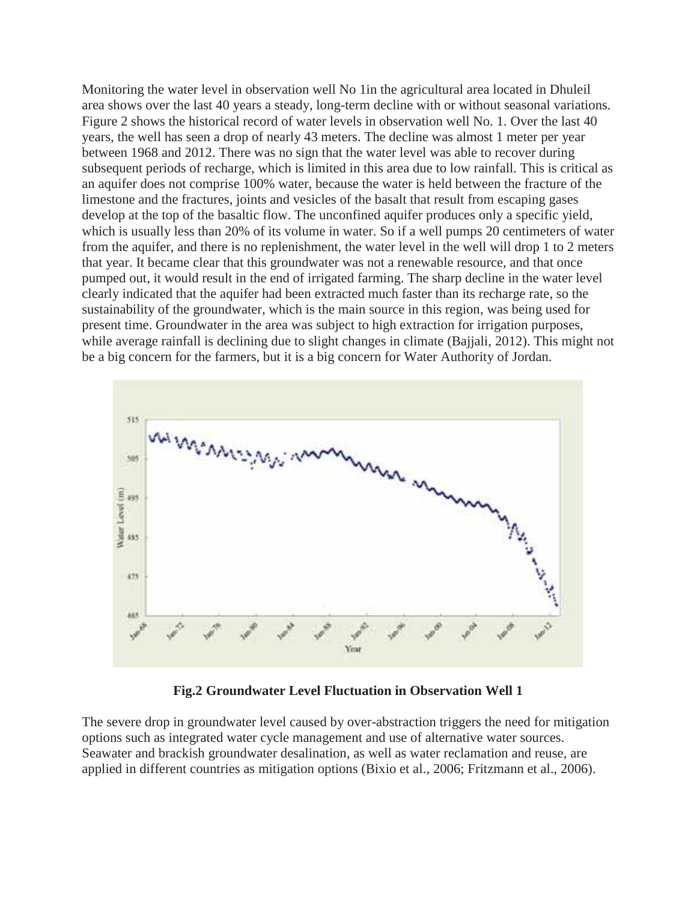Monitoring the water level in observation well No 1in the agricultural area located in Dhuleil area shows over the last 40 years a steady, long-term decline with or without seasonal variations. Figure 2 shows the historical record of water levels in observation well No. 1. Over the last 40 years, the well has seen a drop of nearly 43 meters. The decline was almost 1 meter per year between 1968 and 2012. There was no sign that the water level was able to recover during subsequent periods of recharge, which is limited in this area due to low rainfall. This is critical as an aquifer does not comprise 100% water, because the water is held between the fracture of the limestone and the fractures, joints and vesicles of the basalt that result from escaping gases develop at the top of the basaltic flow. The unconfined aquifer produces only a specific yield, which is usually less than 20% of its volume in water. So if a well pumps 20 centimeters of water from the aquifer, and there is no replenishment, the water level in the well will drop 1 to 2 meters that year. It became clear that this groundwater was not a renewable resource, and that once pumped out, it would result in the end of irrigated farming. The sharp decline in the water level clearly indicated that the aquifer had been extracted much faster than its recharge rate, so the sustainability of the groundwater, which is the main source in this region, was being used for present time. Groundwater in the area was subject to high extraction for irrigation purposes, while average rainfall is declining due to slight changes in climate (Bajjali, 2012). This might not be a big concern for the farmers, but it is a big concern for Water Authority of Jordan.



**Fig.2 Groundwater Level Fluctuation in Observation Well 1**

The severe drop in groundwater level caused by over-abstraction triggers the need for mitigation options such as integrated water cycle management and use of alternative water sources. Seawater and brackish groundwater desalination, as well as water reclamation and reuse, are applied in different countries as mitigation options (Bixio et al., 2006; Fritzmann et al., 2006).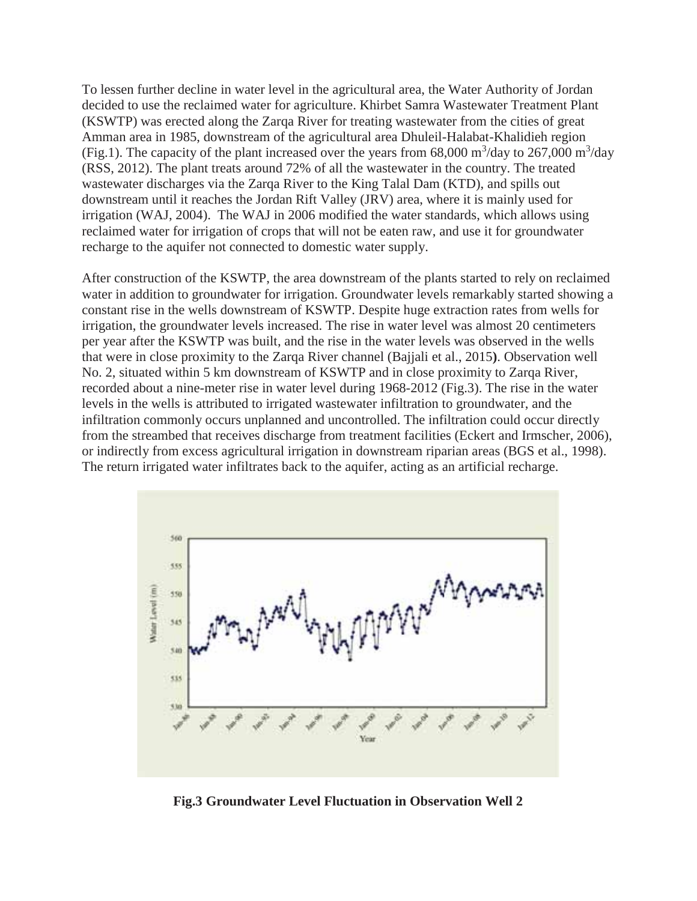To lessen further decline in water level in the agricultural area, the Water Authority of Jordan decided to use the reclaimed water for agriculture. Khirbet Samra Wastewater Treatment Plant (KSWTP) was erected along the Zarqa River for treating wastewater from the cities of great Amman area in 1985, downstream of the agricultural area Dhuleil-Halabat-Khalidieh region (Fig.1). The capacity of the plant increased over the years from 68,000 m<sup>3</sup>/day to 267,000 m<sup>3</sup>/day (RSS, 2012). The plant treats around 72% of all the wastewater in the country. The treated wastewater discharges via the Zarqa River to the King Talal Dam (KTD), and spills out downstream until it reaches the Jordan Rift Valley (JRV) area, where it is mainly used for irrigation (WAJ, 2004). The WAJ in 2006 modified the water standards, which allows using reclaimed water for irrigation of crops that will not be eaten raw, and use it for groundwater recharge to the aquifer not connected to domestic water supply.

After construction of the KSWTP, the area downstream of the plants started to rely on reclaimed water in addition to groundwater for irrigation. Groundwater levels remarkably started showing a constant rise in the wells downstream of KSWTP. Despite huge extraction rates from wells for irrigation, the groundwater levels increased. The rise in water level was almost 20 centimeters per year after the KSWTP was built, and the rise in the water levels was observed in the wells that were in close proximity to the Zarqa River channel (Bajjali et al., 2015**)**. Observation well No. 2, situated within 5 km downstream of KSWTP and in close proximity to Zarqa River, recorded about a nine-meter rise in water level during 1968-2012 (Fig.3). The rise in the water levels in the wells is attributed to irrigated wastewater infiltration to groundwater, and the infiltration commonly occurs unplanned and uncontrolled. The infiltration could occur directly from the streambed that receives discharge from treatment facilities (Eckert and Irmscher, 2006), or indirectly from excess agricultural irrigation in downstream riparian areas (BGS et al., 1998). The return irrigated water infiltrates back to the aquifer, acting as an artificial recharge.



**Fig.3 Groundwater Level Fluctuation in Observation Well 2**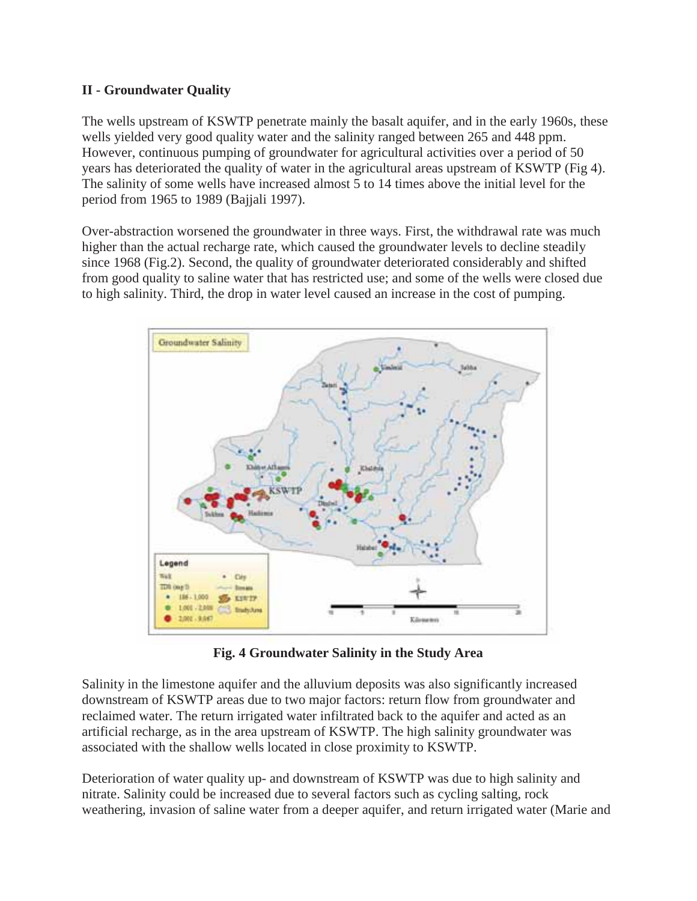## **II - Groundwater Quality**

The wells upstream of KSWTP penetrate mainly the basalt aquifer, and in the early 1960s, these wells yielded very good quality water and the salinity ranged between 265 and 448 ppm. However, continuous pumping of groundwater for agricultural activities over a period of 50 years has deteriorated the quality of water in the agricultural areas upstream of KSWTP (Fig 4). The salinity of some wells have increased almost 5 to 14 times above the initial level for the period from 1965 to 1989 (Bajjali 1997).

Over-abstraction worsened the groundwater in three ways. First, the withdrawal rate was much higher than the actual recharge rate, which caused the groundwater levels to decline steadily since 1968 (Fig.2). Second, the quality of groundwater deteriorated considerably and shifted from good quality to saline water that has restricted use; and some of the wells were closed due to high salinity. Third, the drop in water level caused an increase in the cost of pumping.



**Fig. 4 Groundwater Salinity in the Study Area** 

Salinity in the limestone aquifer and the alluvium deposits was also significantly increased downstream of KSWTP areas due to two major factors: return flow from groundwater and reclaimed water. The return irrigated water infiltrated back to the aquifer and acted as an artificial recharge, as in the area upstream of KSWTP. The high salinity groundwater was associated with the shallow wells located in close proximity to KSWTP.

Deterioration of water quality up- and downstream of KSWTP was due to high salinity and nitrate. Salinity could be increased due to several factors such as cycling salting, rock weathering, invasion of saline water from a deeper aquifer, and return irrigated water (Marie and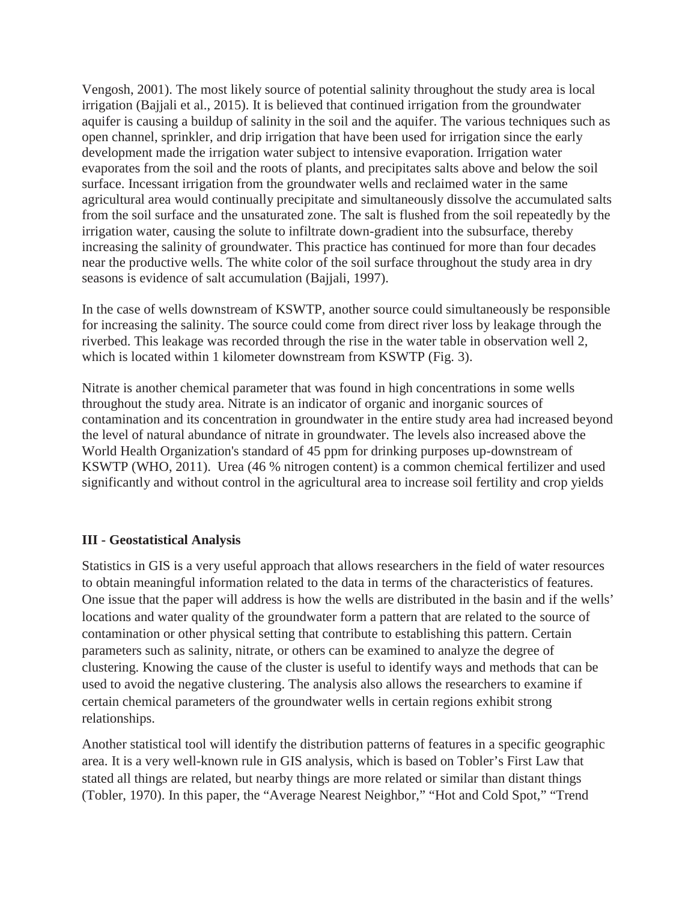Vengosh, 2001). The most likely source of potential salinity throughout the study area is local irrigation (Bajjali et al., 2015). It is believed that continued irrigation from the groundwater aquifer is causing a buildup of salinity in the soil and the aquifer. The various techniques such as open channel, sprinkler, and drip irrigation that have been used for irrigation since the early development made the irrigation water subject to intensive evaporation. Irrigation water evaporates from the soil and the roots of plants, and precipitates salts above and below the soil surface. Incessant irrigation from the groundwater wells and reclaimed water in the same agricultural area would continually precipitate and simultaneously dissolve the accumulated salts from the soil surface and the unsaturated zone. The salt is flushed from the soil repeatedly by the irrigation water, causing the solute to infiltrate down-gradient into the subsurface, thereby increasing the salinity of groundwater. This practice has continued for more than four decades near the productive wells. The white color of the soil surface throughout the study area in dry seasons is evidence of salt accumulation (Bajjali, 1997).

In the case of wells downstream of KSWTP, another source could simultaneously be responsible for increasing the salinity. The source could come from direct river loss by leakage through the riverbed. This leakage was recorded through the rise in the water table in observation well 2, which is located within 1 kilometer downstream from KSWTP (Fig. 3).

Nitrate is another chemical parameter that was found in high concentrations in some wells throughout the study area. Nitrate is an indicator of organic and inorganic sources of contamination and its concentration in groundwater in the entire study area had increased beyond the level of natural abundance of nitrate in groundwater. The levels also increased above the World Health Organization's standard of 45 ppm for drinking purposes up-downstream of KSWTP (WHO, 2011). Urea (46 % nitrogen content) is a common chemical fertilizer and used significantly and without control in the agricultural area to increase soil fertility and crop yields

#### **III - Geostatistical Analysis**

Statistics in GIS is a very useful approach that allows researchers in the field of water resources to obtain meaningful information related to the data in terms of the characteristics of features. One issue that the paper will address is how the wells are distributed in the basin and if the wells' locations and water quality of the groundwater form a pattern that are related to the source of contamination or other physical setting that contribute to establishing this pattern. Certain parameters such as salinity, nitrate, or others can be examined to analyze the degree of clustering. Knowing the cause of the cluster is useful to identify ways and methods that can be used to avoid the negative clustering. The analysis also allows the researchers to examine if certain chemical parameters of the groundwater wells in certain regions exhibit strong relationships.

Another statistical tool will identify the distribution patterns of features in a specific geographic area. It is a very well-known rule in GIS analysis, which is based on Tobler's First Law that stated all things are related, but nearby things are more related or similar than distant things (Tobler, 1970). In this paper, the "Average Nearest Neighbor," "Hot and Cold Spot," "Trend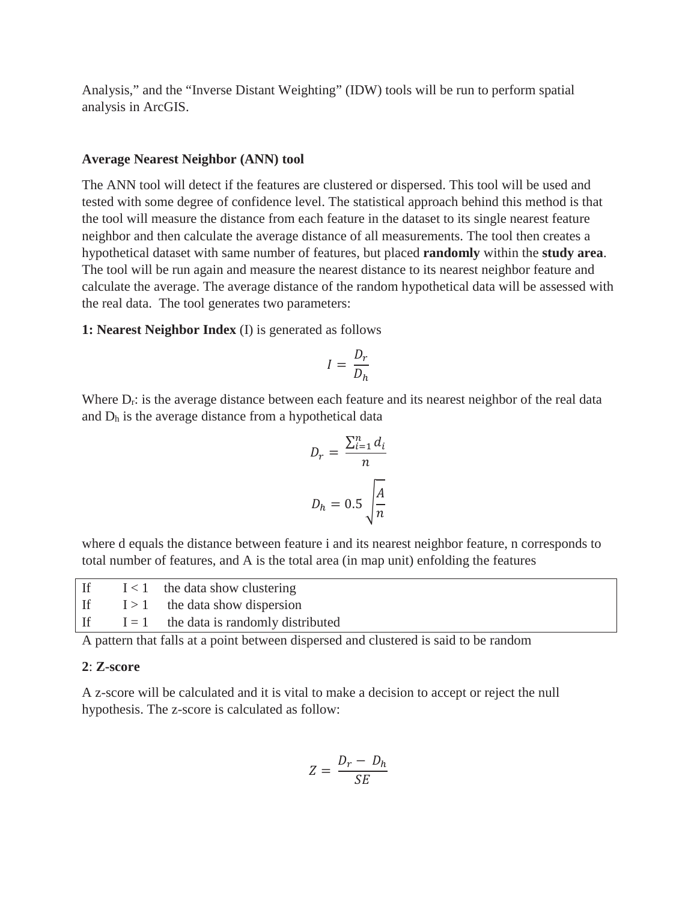Analysis," and the "Inverse Distant Weighting" (IDW) tools will be run to perform spatial analysis in ArcGIS.

#### **Average Nearest Neighbor (ANN) tool**

The ANN tool will detect if the features are clustered or dispersed. This tool will be used and tested with some degree of confidence level. The statistical approach behind this method is that the tool will measure the distance from each feature in the dataset to its single nearest feature neighbor and then calculate the average distance of all measurements. The tool then creates a hypothetical dataset with same number of features, but placed **randomly** within the **study area**. The tool will be run again and measure the nearest distance to its nearest neighbor feature and calculate the average. The average distance of the random hypothetical data will be assessed with the real data. The tool generates two parameters:

**1: Nearest Neighbor Index** (I) is generated as follows

$$
I = \frac{D_r}{D_h}
$$

Where  $D_r$ : is the average distance between each feature and its nearest neighbor of the real data and  $D_h$  is the average distance from a hypothetical data

$$
D_r = \frac{\sum_{i=1}^{n} d_i}{n}
$$

$$
D_h = 0.5 \sqrt{\frac{A}{n}}
$$

where d equals the distance between feature i and its nearest neighbor feature, n corresponds to total number of features, and A is the total area (in map unit) enfolding the features

|  | If $I < 1$ the data show clustering         |
|--|---------------------------------------------|
|  | If $I > 1$ the data show dispersion         |
|  | If $I = 1$ the data is randomly distributed |

A pattern that falls at a point between dispersed and clustered is said to be random

#### **2**: **Z-score**

A z-score will be calculated and it is vital to make a decision to accept or reject the null hypothesis. The z-score is calculated as follow:

$$
Z = \frac{D_r - D_h}{SE}
$$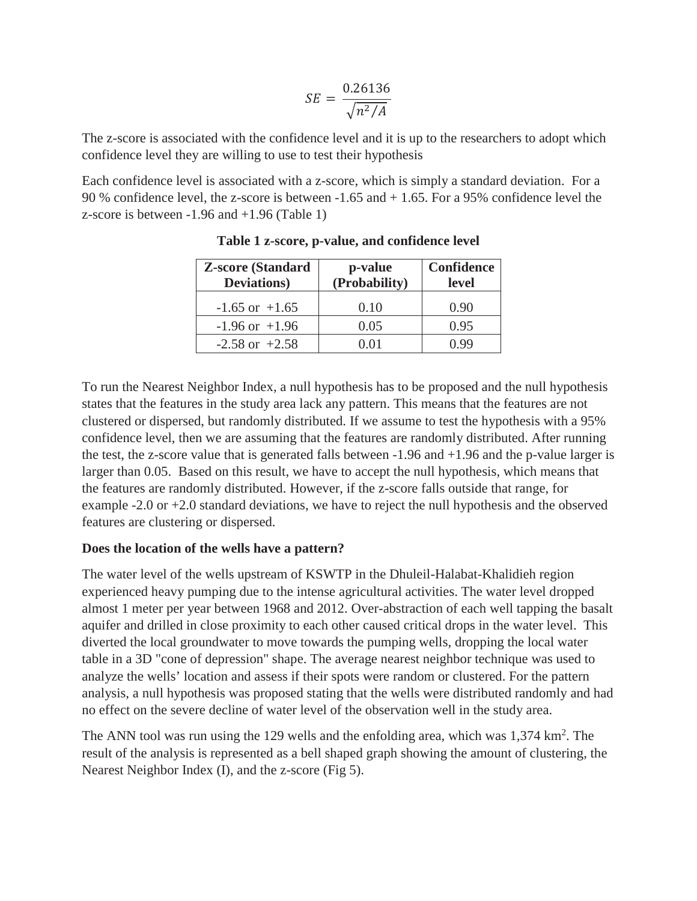$$
SE = \frac{0.26136}{\sqrt{n^2/A}}
$$

The z-score is associated with the confidence level and it is up to the researchers to adopt which confidence level they are willing to use to test their hypothesis

Each confidence level is associated with a z-score, which is simply a standard deviation. For a 90 % confidence level, the z-score is between -1.65 and + 1.65. For a 95% confidence level the z-score is between -1.96 and +1.96 (Table 1)

| <b>Z-score (Standard</b><br><b>Deviations</b> ) | p-value<br>(Probability) | <b>Confidence</b><br>level |
|-------------------------------------------------|--------------------------|----------------------------|
| $-1.65$ or $+1.65$                              | 0.10                     | 0.90                       |
| $-1.96$ or $+1.96$                              | 0.05                     | 0.95                       |
| $-2.58$ or $+2.58$                              |                          |                            |

**Table 1 z-score, p-value, and confidence level** 

To run the Nearest Neighbor Index, a null hypothesis has to be proposed and the null hypothesis states that the features in the study area lack any pattern. This means that the features are not clustered or dispersed, but randomly distributed. If we assume to test the hypothesis with a 95% confidence level, then we are assuming that the features are randomly distributed. After running the test, the z-score value that is generated falls between -1.96 and +1.96 and the p-value larger is larger than 0.05. Based on this result, we have to accept the null hypothesis, which means that the features are randomly distributed. However, if the z-score falls outside that range, for example -2.0 or +2.0 standard deviations, we have to reject the null hypothesis and the observed features are clustering or dispersed.

## **Does the location of the wells have a pattern?**

The water level of the wells upstream of KSWTP in the Dhuleil-Halabat-Khalidieh region experienced heavy pumping due to the intense agricultural activities. The water level dropped almost 1 meter per year between 1968 and 2012. Over-abstraction of each well tapping the basalt aquifer and drilled in close proximity to each other caused critical drops in the water level. This diverted the local groundwater to move towards the pumping wells, dropping the local water table in a 3D "cone of depression" shape. The average nearest neighbor technique was used to analyze the wells' location and assess if their spots were random or clustered. For the pattern analysis, a null hypothesis was proposed stating that the wells were distributed randomly and had no effect on the severe decline of water level of the observation well in the study area.

The ANN tool was run using the 129 wells and the enfolding area, which was 1,374 km<sup>2</sup>. The result of the analysis is represented as a bell shaped graph showing the amount of clustering, the Nearest Neighbor Index (I), and the z-score (Fig 5).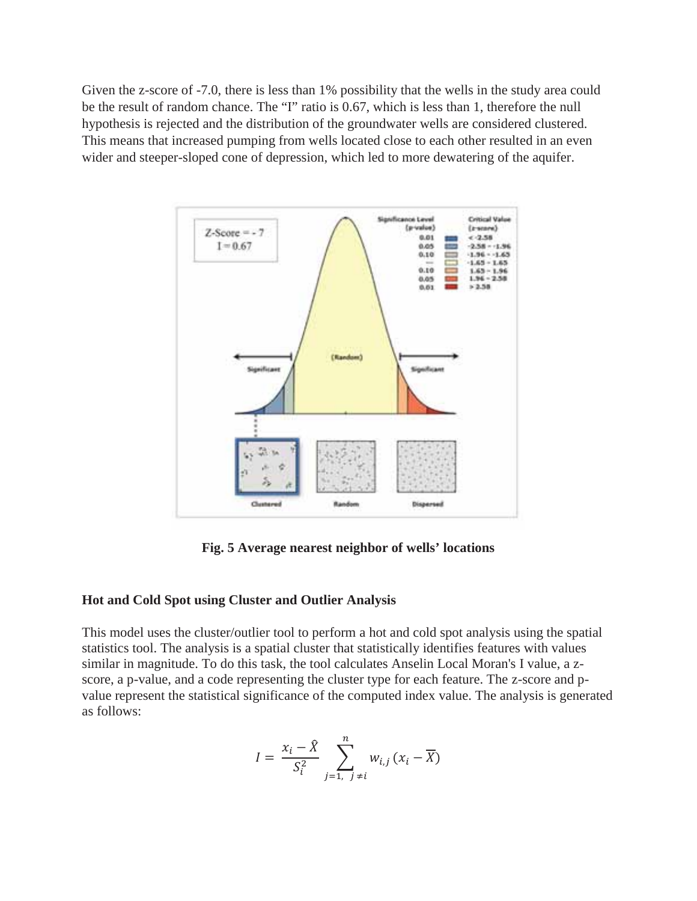Given the z-score of -7.0, there is less than 1% possibility that the wells in the study area could be the result of random chance. The "I" ratio is 0.67, which is less than 1, therefore the null hypothesis is rejected and the distribution of the groundwater wells are considered clustered. This means that increased pumping from wells located close to each other resulted in an even wider and steeper-sloped cone of depression, which led to more dewatering of the aquifer.



**Fig. 5 Average nearest neighbor of wells' locations**

#### **Hot and Cold Spot using Cluster and Outlier Analysis**

This model uses the cluster/outlier tool to perform a hot and cold spot analysis using the spatial statistics tool. The analysis is a spatial cluster that statistically identifies features with values similar in magnitude. To do this task, the tool calculates Anselin Local Moran's I value, a zscore, a p-value, and a code representing the cluster type for each feature. The z-score and pvalue represent the statistical significance of the computed index value. The analysis is generated as follows:

$$
I = \frac{x_i - \hat{X}}{S_i^2} \sum_{j=1, j \neq i}^{n} w_{i,j} (x_i - \overline{X})
$$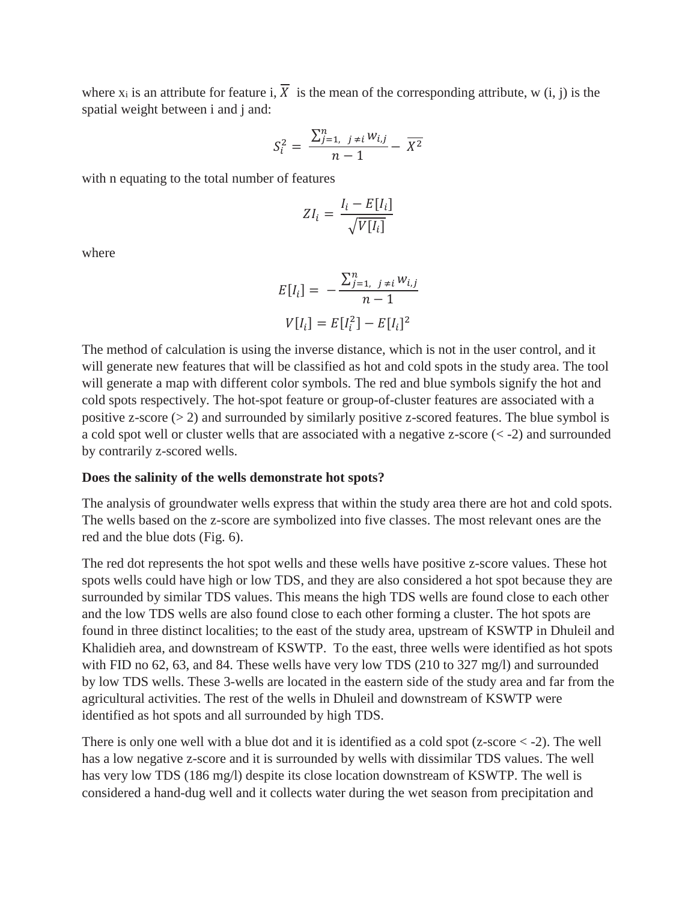where  $x_i$  is an attribute for feature i,  $\overline{X}$  is the mean of the corresponding attribute, w (i, j) is the spatial weight between i and j and:

$$
S_i^2 = \frac{\sum_{j=1, j \neq i}^n w_{i,j}}{n-1} - \overline{X^2}
$$

with n equating to the total number of features

$$
ZI_i = \frac{I_i - E[I_i]}{\sqrt{V[I_i]}}
$$

where

$$
E[I_i] = -\frac{\sum_{j=1, j \neq i}^{n} w_{i,j}}{n-1}
$$

$$
V[I_i] = E[I_i^2] - E[I_i]^2
$$

The method of calculation is using the inverse distance, which is not in the user control, and it will generate new features that will be classified as hot and cold spots in the study area. The tool will generate a map with different color symbols. The red and blue symbols signify the hot and cold spots respectively. The hot-spot feature or group-of-cluster features are associated with a positive z-score  $(> 2)$  and surrounded by similarly positive z-scored features. The blue symbol is a cold spot well or cluster wells that are associated with a negative z-score (< -2) and surrounded by contrarily z-scored wells.

#### **Does the salinity of the wells demonstrate hot spots?**

The analysis of groundwater wells express that within the study area there are hot and cold spots. The wells based on the z-score are symbolized into five classes. The most relevant ones are the red and the blue dots (Fig. 6).

The red dot represents the hot spot wells and these wells have positive z-score values. These hot spots wells could have high or low TDS, and they are also considered a hot spot because they are surrounded by similar TDS values. This means the high TDS wells are found close to each other and the low TDS wells are also found close to each other forming a cluster. The hot spots are found in three distinct localities; to the east of the study area, upstream of KSWTP in Dhuleil and Khalidieh area, and downstream of KSWTP. To the east, three wells were identified as hot spots with FID no 62, 63, and 84. These wells have very low TDS (210 to 327 mg/l) and surrounded by low TDS wells. These 3-wells are located in the eastern side of the study area and far from the agricultural activities. The rest of the wells in Dhuleil and downstream of KSWTP were identified as hot spots and all surrounded by high TDS.

There is only one well with a blue dot and it is identified as a cold spot  $(z\text{-score} < -2)$ . The well has a low negative z-score and it is surrounded by wells with dissimilar TDS values. The well has very low TDS (186 mg/l) despite its close location downstream of KSWTP. The well is considered a hand-dug well and it collects water during the wet season from precipitation and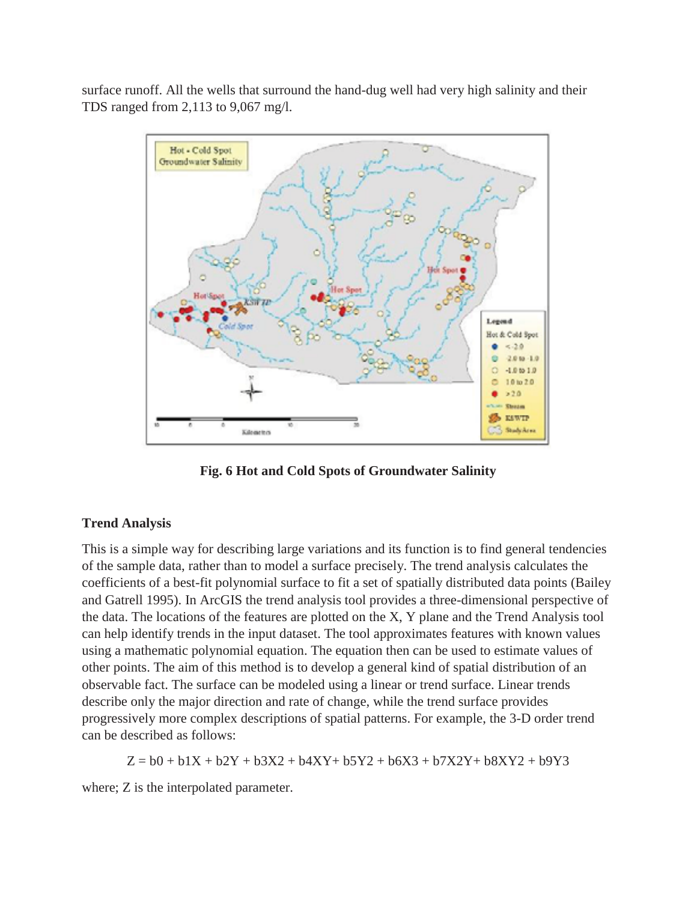surface runoff. All the wells that surround the hand-dug well had very high salinity and their TDS ranged from 2,113 to 9,067 mg/l.



**Fig. 6 Hot and Cold Spots of Groundwater Salinity** 

## **Trend Analysis**

This is a simple way for describing large variations and its function is to find general tendencies of the sample data, rather than to model a surface precisely. The trend analysis calculates the coefficients of a best-fit polynomial surface to fit a set of spatially distributed data points (Bailey and Gatrell 1995). In ArcGIS the trend analysis tool provides a three-dimensional perspective of the data. The locations of the features are plotted on the X, Y plane and the Trend Analysis tool can help identify trends in the input dataset. The tool approximates features with known values using a mathematic polynomial equation. The equation then can be used to estimate values of other points. The aim of this method is to develop a general kind of spatial distribution of an observable fact. The surface can be modeled using a linear or trend surface. Linear trends describe only the major direction and rate of change, while the trend surface provides progressively more complex descriptions of spatial patterns. For example, the 3-D order trend can be described as follows:

 $Z = b0 + b1X + b2Y + b3X2 + b4XY + b5Y2 + b6X3 + b7X2Y + b8XYZ + b9Y3$ 

where; Z is the interpolated parameter.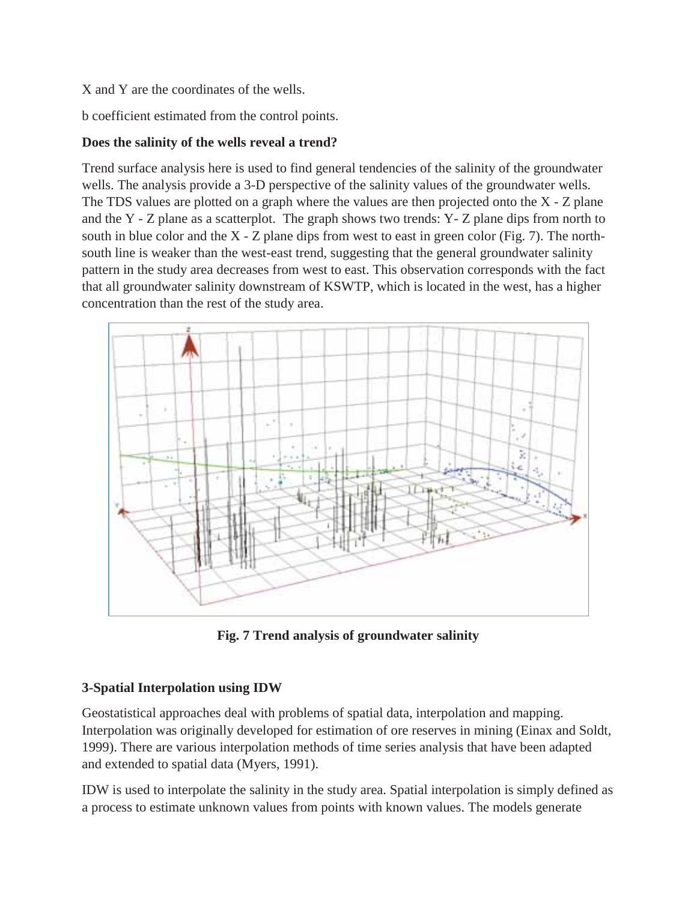#### X and Y are the coordinates of the wells.

b coefficient estimated from the control points.

## **Does the salinity of the wells reveal a trend?**

Trend surface analysis here is used to find general tendencies of the salinity of the groundwater wells. The analysis provide a 3-D perspective of the salinity values of the groundwater wells. The TDS values are plotted on a graph where the values are then projected onto the X - Z plane and the Y - Z plane as a scatterplot. The graph shows two trends: Y- Z plane dips from north to south in blue color and the  $X - Z$  plane dips from west to east in green color (Fig. 7). The northsouth line is weaker than the west-east trend, suggesting that the general groundwater salinity pattern in the study area decreases from west to east. This observation corresponds with the fact that all groundwater salinity downstream of KSWTP, which is located in the west, has a higher concentration than the rest of the study area.



**Fig. 7 Trend analysis of groundwater salinity** 

# **3-Spatial Interpolation using IDW**

Geostatistical approaches deal with problems of spatial data, interpolation and mapping. Interpolation was originally developed for estimation of ore reserves in mining (Einax and Soldt, 1999). There are various interpolation methods of time series analysis that have been adapted and extended to spatial data (Myers, 1991).

IDW is used to interpolate the salinity in the study area. Spatial interpolation is simply defined as a process to estimate unknown values from points with known values. The models generate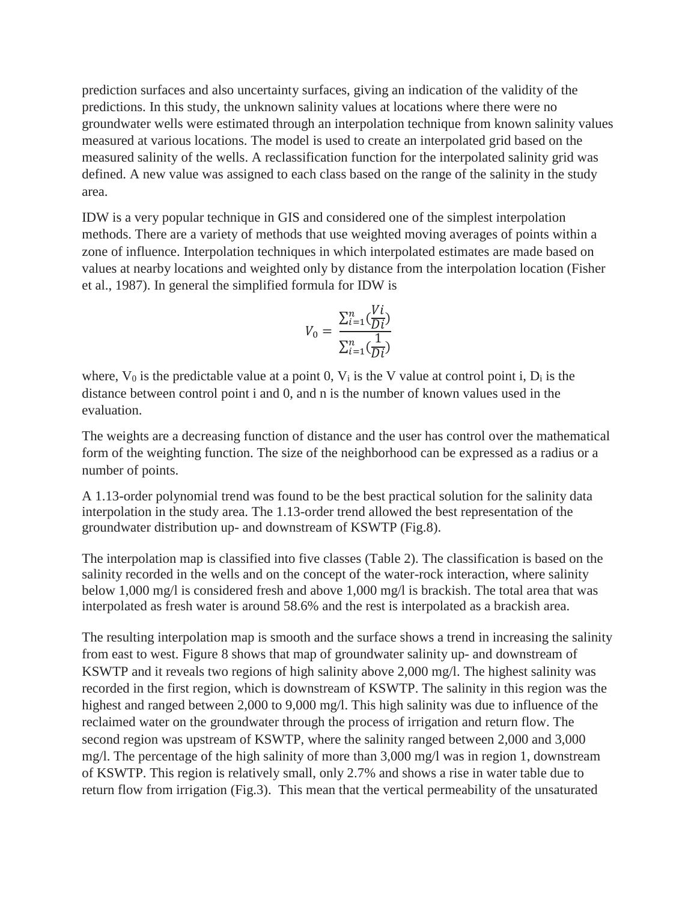prediction surfaces and also uncertainty surfaces, giving an indication of the validity of the predictions. In this study, the unknown salinity values at locations where there were no groundwater wells were estimated through an interpolation technique from known salinity values measured at various locations. The model is used to create an interpolated grid based on the measured salinity of the wells. A reclassification function for the interpolated salinity grid was defined. A new value was assigned to each class based on the range of the salinity in the study area.

IDW is a very popular technique in GIS and considered one of the simplest interpolation methods. There are a variety of methods that use weighted moving averages of points within a zone of influence. Interpolation techniques in which interpolated estimates are made based on values at nearby locations and weighted only by distance from the interpolation location (Fisher et al., 1987). In general the simplified formula for IDW is

$$
V_0 = \frac{\sum_{i=1}^{n} \left(\frac{Vi}{Di}\right)}{\sum_{i=1}^{n} \left(\frac{1}{Di}\right)}
$$

where,  $V_0$  is the predictable value at a point 0,  $V_i$  is the V value at control point i,  $D_i$  is the distance between control point i and 0, and n is the number of known values used in the evaluation.

The weights are a decreasing function of distance and the user has control over the mathematical form of the weighting function. The size of the neighborhood can be expressed as a radius or a number of points.

A 1.13-order polynomial trend was found to be the best practical solution for the salinity data interpolation in the study area. The 1.13-order trend allowed the best representation of the groundwater distribution up- and downstream of KSWTP (Fig.8).

The interpolation map is classified into five classes (Table 2). The classification is based on the salinity recorded in the wells and on the concept of the water-rock interaction, where salinity below 1,000 mg/l is considered fresh and above 1,000 mg/l is brackish. The total area that was interpolated as fresh water is around 58.6% and the rest is interpolated as a brackish area.

The resulting interpolation map is smooth and the surface shows a trend in increasing the salinity from east to west. Figure 8 shows that map of groundwater salinity up- and downstream of KSWTP and it reveals two regions of high salinity above 2,000 mg/l. The highest salinity was recorded in the first region, which is downstream of KSWTP. The salinity in this region was the highest and ranged between 2,000 to 9,000 mg/l. This high salinity was due to influence of the reclaimed water on the groundwater through the process of irrigation and return flow. The second region was upstream of KSWTP, where the salinity ranged between 2,000 and 3,000 mg/l. The percentage of the high salinity of more than 3,000 mg/l was in region 1, downstream of KSWTP. This region is relatively small, only 2.7% and shows a rise in water table due to return flow from irrigation (Fig.3). This mean that the vertical permeability of the unsaturated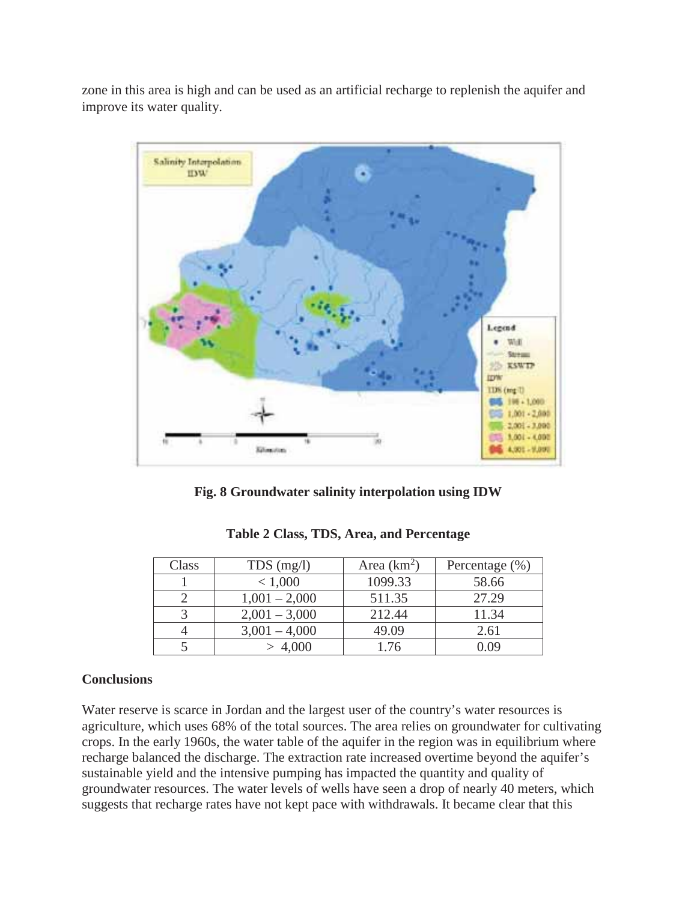zone in this area is high and can be used as an artificial recharge to replenish the aquifer and improve its water quality.



**Fig. 8 Groundwater salinity interpolation using IDW** 

| Class | $TDS$ (mg/l)    | Area $(km^2)$ | Percentage $(\% )$ |
|-------|-----------------|---------------|--------------------|
|       | < 1,000         | 1099.33       | 58.66              |
|       | $1,001 - 2,000$ | 511.35        | 27.29              |
|       | $2,001 - 3,000$ | 212.44        | 11.34              |
|       | $3,001 - 4,000$ | 49.09         | 2.61               |
|       |                 | 1.76          |                    |

**Table 2 Class, TDS, Area, and Percentage** 

#### **Conclusions**

Water reserve is scarce in Jordan and the largest user of the country's water resources is agriculture, which uses 68% of the total sources. The area relies on groundwater for cultivating crops. In the early 1960s, the water table of the aquifer in the region was in equilibrium where recharge balanced the discharge. The extraction rate increased overtime beyond the aquifer's sustainable yield and the intensive pumping has impacted the quantity and quality of groundwater resources. The water levels of wells have seen a drop of nearly 40 meters, which suggests that recharge rates have not kept pace with withdrawals. It became clear that this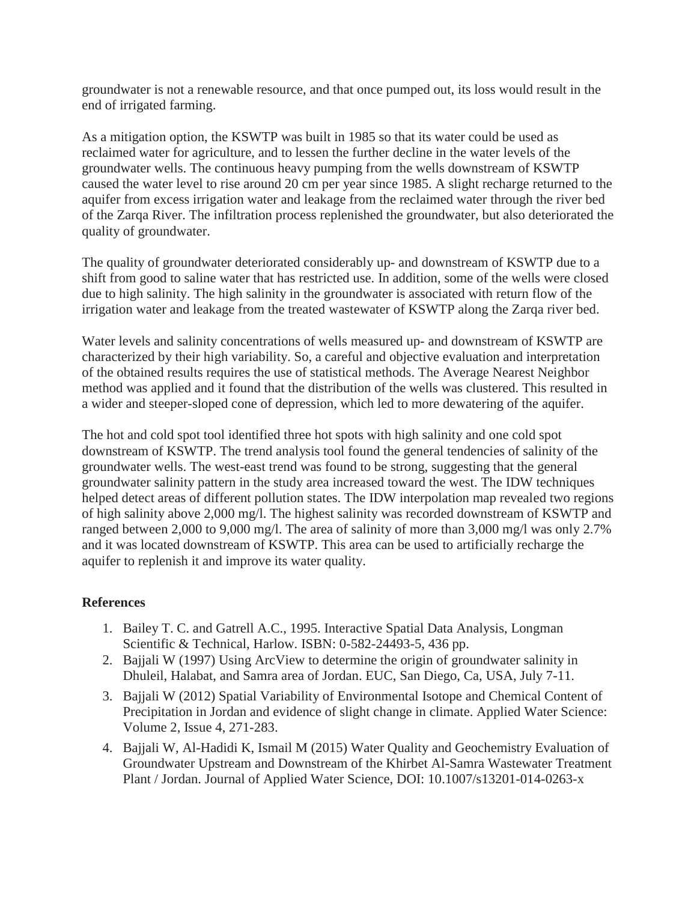groundwater is not a renewable resource, and that once pumped out, its loss would result in the end of irrigated farming.

As a mitigation option, the KSWTP was built in 1985 so that its water could be used as reclaimed water for agriculture, and to lessen the further decline in the water levels of the groundwater wells. The continuous heavy pumping from the wells downstream of KSWTP caused the water level to rise around 20 cm per year since 1985. A slight recharge returned to the aquifer from excess irrigation water and leakage from the reclaimed water through the river bed of the Zarqa River. The infiltration process replenished the groundwater, but also deteriorated the quality of groundwater.

The quality of groundwater deteriorated considerably up- and downstream of KSWTP due to a shift from good to saline water that has restricted use. In addition, some of the wells were closed due to high salinity. The high salinity in the groundwater is associated with return flow of the irrigation water and leakage from the treated wastewater of KSWTP along the Zarqa river bed.

Water levels and salinity concentrations of wells measured up- and downstream of KSWTP are characterized by their high variability. So, a careful and objective evaluation and interpretation of the obtained results requires the use of statistical methods. The Average Nearest Neighbor method was applied and it found that the distribution of the wells was clustered. This resulted in a wider and steeper-sloped cone of depression, which led to more dewatering of the aquifer.

The hot and cold spot tool identified three hot spots with high salinity and one cold spot downstream of KSWTP. The trend analysis tool found the general tendencies of salinity of the groundwater wells. The west-east trend was found to be strong, suggesting that the general groundwater salinity pattern in the study area increased toward the west. The IDW techniques helped detect areas of different pollution states. The IDW interpolation map revealed two regions of high salinity above 2,000 mg/l. The highest salinity was recorded downstream of KSWTP and ranged between 2,000 to 9,000 mg/l. The area of salinity of more than 3,000 mg/l was only 2.7% and it was located downstream of KSWTP. This area can be used to artificially recharge the aquifer to replenish it and improve its water quality.

## **References**

- 1. Bailey T. C. and Gatrell A.C., 1995. Interactive Spatial Data Analysis, Longman Scientific & Technical, Harlow. ISBN: 0-582-24493-5, 436 pp.
- 2. Bajjali W (1997) Using ArcView to determine the origin of groundwater salinity in Dhuleil, Halabat, and Samra area of Jordan. EUC, San Diego, Ca, USA, July 7-11.
- 3. Bajjali W (2012) Spatial Variability of Environmental Isotope and Chemical Content of Precipitation in Jordan and evidence of slight change in climate. Applied Water Science: Volume 2, Issue 4, 271-283.
- 4. Bajjali W, Al-Hadidi K, Ismail M (2015) Water Quality and Geochemistry Evaluation of Groundwater Upstream and Downstream of the Khirbet Al-Samra Wastewater Treatment Plant / Jordan. Journal of Applied Water Science, DOI: 10.1007/s13201-014-0263-x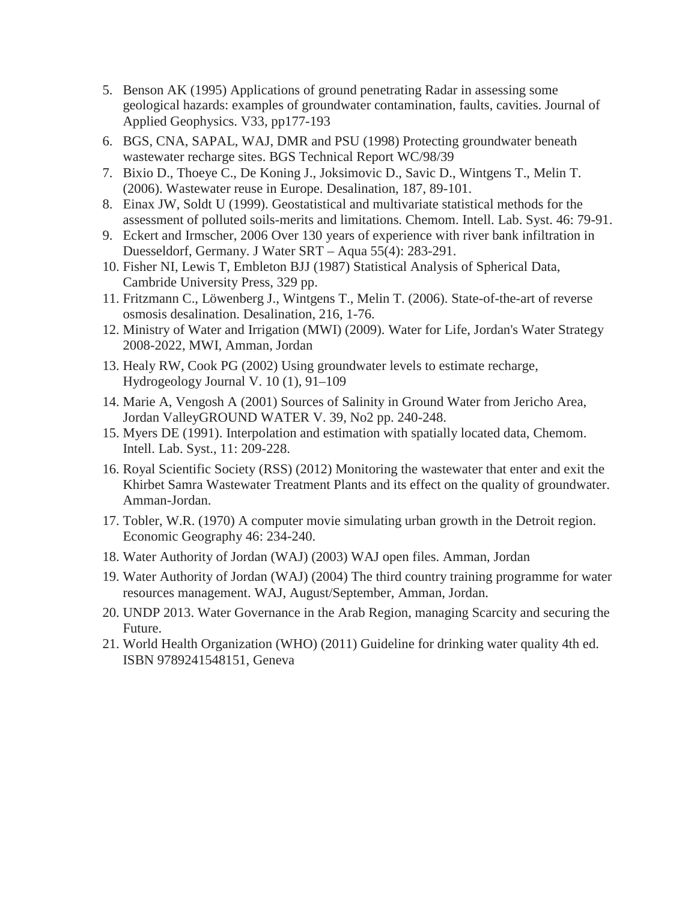- 5. Benson AK (1995) Applications of ground penetrating Radar in assessing some geological hazards: examples of groundwater contamination, faults, cavities. Journal of Applied Geophysics. V33, pp177-193
- 6. BGS, CNA, SAPAL, WAJ, DMR and PSU (1998) Protecting groundwater beneath wastewater recharge sites. BGS Technical Report WC/98/39
- 7. Bixio D., Thoeye C., De Koning J., Joksimovic D., Savic D., Wintgens T., Melin T. (2006). Wastewater reuse in Europe. Desalination, 187, 89-101.
- 8. Einax JW, Soldt U (1999). Geostatistical and multivariate statistical methods for the assessment of polluted soils-merits and limitations. Chemom. Intell. Lab. Syst. 46: 79-91.
- 9. Eckert and Irmscher, 2006 Over 130 years of experience with river bank infiltration in Duesseldorf, Germany. J Water SRT – Aqua 55(4): 283-291.
- 10. Fisher NI, Lewis T, Embleton BJJ (1987) Statistical Analysis of Spherical Data, Cambride University Press, 329 pp.
- 11. Fritzmann C., Löwenberg J., Wintgens T., Melin T. (2006). State-of-the-art of reverse osmosis desalination. Desalination, 216, 1-76.
- 12. Ministry of Water and Irrigation (MWI) (2009). Water for Life, Jordan's Water Strategy 2008-2022, MWI, Amman, Jordan
- 13. Healy RW, Cook PG (2002) Using groundwater levels to estimate recharge, Hydrogeology Journal V. 10 (1), 91–109
- 14. Marie A, Vengosh A (2001) Sources of Salinity in Ground Water from Jericho Area, Jordan ValleyGROUND WATER V. 39, No2 pp. 240-248.
- 15. Myers DE (1991). Interpolation and estimation with spatially located data, Chemom. Intell. Lab. Syst., 11: 209-228.
- 16. Royal Scientific Society (RSS) (2012) Monitoring the wastewater that enter and exit the Khirbet Samra Wastewater Treatment Plants and its effect on the quality of groundwater. Amman-Jordan.
- 17. Tobler, W.R. (1970) A computer movie simulating urban growth in the Detroit region. Economic Geography 46: 234-240.
- 18. Water Authority of Jordan (WAJ) (2003) WAJ open files. Amman, Jordan
- 19. Water Authority of Jordan (WAJ) (2004) The third country training programme for water resources management. WAJ, August/September, Amman, Jordan.
- 20. UNDP 2013. Water Governance in the Arab Region, managing Scarcity and securing the Future.
- 21. World Health Organization (WHO) (2011) Guideline for drinking water quality 4th ed. ISBN 9789241548151, Geneva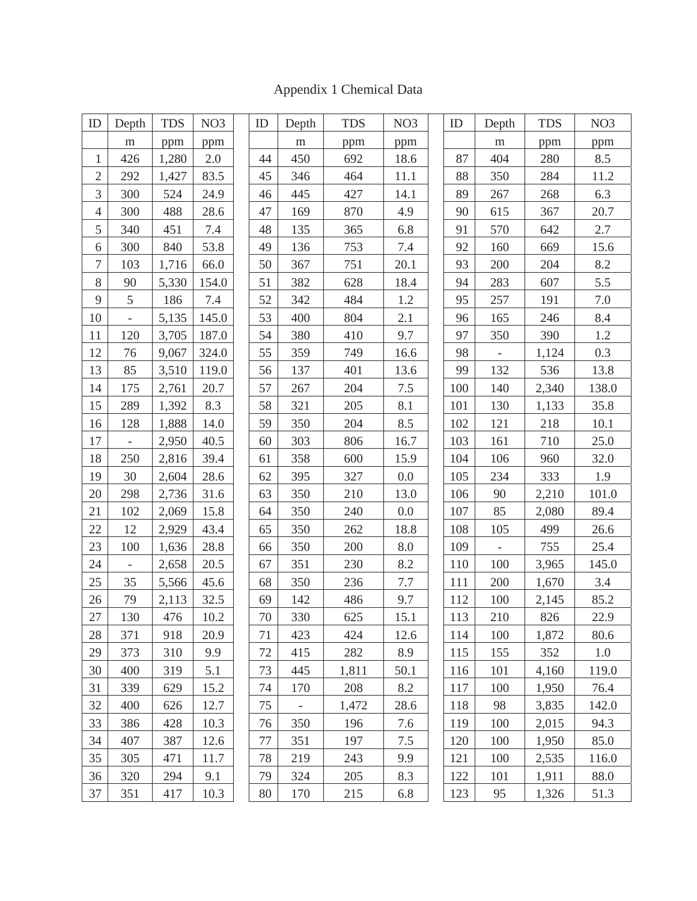| ID               | Depth                    | <b>TDS</b> | NO <sub>3</sub> | ID | Depth | <b>TDS</b> | NO <sub>3</sub> | ID  | Depth                    | <b>TDS</b> | NO <sub>3</sub> |
|------------------|--------------------------|------------|-----------------|----|-------|------------|-----------------|-----|--------------------------|------------|-----------------|
|                  | m                        | ppm        | ppm             |    | m     | ppm        | ppm             |     | m                        | ppm        | ppm             |
| $\mathbf{1}$     | 426                      | 1,280      | 2.0             | 44 | 450   | 692        | 18.6            | 87  | 404                      | 280        | 8.5             |
| $\mathfrak{2}$   | 292                      | 1,427      | 83.5            | 45 | 346   | 464        | 11.1            | 88  | 350                      | 284        | 11.2            |
| 3                | 300                      | 524        | 24.9            | 46 | 445   | 427        | 14.1            | 89  | 267                      | 268        | 6.3             |
| $\overline{4}$   | 300                      | 488        | 28.6            | 47 | 169   | 870        | 4.9             | 90  | 615                      | 367        | 20.7            |
| 5                | 340                      | 451        | 7.4             | 48 | 135   | 365        | 6.8             | 91  | 570                      | 642        | 2.7             |
| 6                | 300                      | 840        | 53.8            | 49 | 136   | 753        | 7.4             | 92  | 160                      | 669        | 15.6            |
| $\boldsymbol{7}$ | 103                      | 1,716      | 66.0            | 50 | 367   | 751        | 20.1            | 93  | 200                      | 204        | 8.2             |
| 8                | 90                       | 5,330      | 154.0           | 51 | 382   | 628        | 18.4            | 94  | 283                      | 607        | 5.5             |
| 9                | 5                        | 186        | 7.4             | 52 | 342   | 484        | 1.2             | 95  | 257                      | 191        | 7.0             |
| 10               |                          | 5,135      | 145.0           | 53 | 400   | 804        | 2.1             | 96  | 165                      | 246        | 8.4             |
| 11               | 120                      | 3,705      | 187.0           | 54 | 380   | 410        | 9.7             | 97  | 350                      | 390        | 1.2             |
| 12               | 76                       | 9,067      | 324.0           | 55 | 359   | 749        | 16.6            | 98  | $\overline{\phantom{a}}$ | 1,124      | 0.3             |
| 13               | 85                       | 3,510      | 119.0           | 56 | 137   | 401        | 13.6            | 99  | 132                      | 536        | 13.8            |
| 14               | 175                      | 2,761      | 20.7            | 57 | 267   | 204        | 7.5             | 100 | 140                      | 2,340      | 138.0           |
| 15               | 289                      | 1,392      | 8.3             | 58 | 321   | 205        | 8.1             | 101 | 130                      | 1,133      | 35.8            |
| 16               | 128                      | 1,888      | 14.0            | 59 | 350   | 204        | 8.5             | 102 | 121                      | 218        | 10.1            |
| 17               | $\overline{\phantom{0}}$ | 2,950      | 40.5            | 60 | 303   | 806        | 16.7            | 103 | 161                      | 710        | 25.0            |
| 18               | 250                      | 2,816      | 39.4            | 61 | 358   | 600        | 15.9            | 104 | 106                      | 960        | 32.0            |
| 19               | 30                       | 2,604      | 28.6            | 62 | 395   | 327        | 0.0             | 105 | 234                      | 333        | 1.9             |
| 20               | 298                      | 2,736      | 31.6            | 63 | 350   | 210        | 13.0            | 106 | 90                       | 2,210      | 101.0           |
| 21               | 102                      | 2,069      | 15.8            | 64 | 350   | 240        | 0.0             | 107 | 85                       | 2,080      | 89.4            |
| 22               | 12                       | 2,929      | 43.4            | 65 | 350   | 262        | 18.8            | 108 | 105                      | 499        | 26.6            |
| 23               | 100                      | 1,636      | 28.8            | 66 | 350   | 200        | 8.0             | 109 | $\overline{\phantom{a}}$ | 755        | 25.4            |
| 24               | $\overline{\phantom{a}}$ | 2,658      | 20.5            | 67 | 351   | 230        | 8.2             | 110 | 100                      | 3,965      | 145.0           |
| 25               | 35                       | 5,566      | 45.6            | 68 | 350   | 236        | $7.7\,$         | 111 | 200                      | 1,670      | 3.4             |
| 26               | 79                       | 2,113      | 32.5            | 69 | 142   | 486        | 9.7             | 112 | 100                      | 2,145      | 85.2            |
| $27\,$           | 130                      | 476        | 10.2            | 70 | 330   | 625        | 15.1            | 113 | 210                      | 826        | 22.9            |
| 28               | 371                      | 918        | 20.9            | 71 | 423   | 424        | 12.6            | 114 | 100                      | 1,872      | 80.6            |
| 29               | 373                      | 310        | 9.9             | 72 | 415   | 282        | 8.9             | 115 | 155                      | 352        | 1.0             |
| 30               | 400                      | 319        | 5.1             | 73 | 445   | 1,811      | 50.1            | 116 | 101                      | 4,160      | 119.0           |
| 31               | 339                      | 629        | 15.2            | 74 | 170   | 208        | 8.2             | 117 | 100                      | 1,950      | 76.4            |
| 32               | 400                      | 626        | 12.7            | 75 |       | 1,472      | 28.6            | 118 | 98                       | 3,835      | 142.0           |
| 33               | 386                      | 428        | 10.3            | 76 | 350   | 196        | 7.6             | 119 | 100                      | 2,015      | 94.3            |
| 34               | 407                      | 387        | 12.6            | 77 | 351   | 197        | 7.5             | 120 | 100                      | 1,950      | 85.0            |
| 35               | 305                      | 471        | 11.7            | 78 | 219   | 243        | 9.9             | 121 | 100                      | 2,535      | 116.0           |
| 36               | 320                      | 294        | 9.1             | 79 | 324   | 205        | 8.3             | 122 | 101                      | 1,911      | 88.0            |
| 37               | 351                      | 417        | 10.3            | 80 | 170   | 215        | 6.8             | 123 | 95                       | 1,326      | 51.3            |